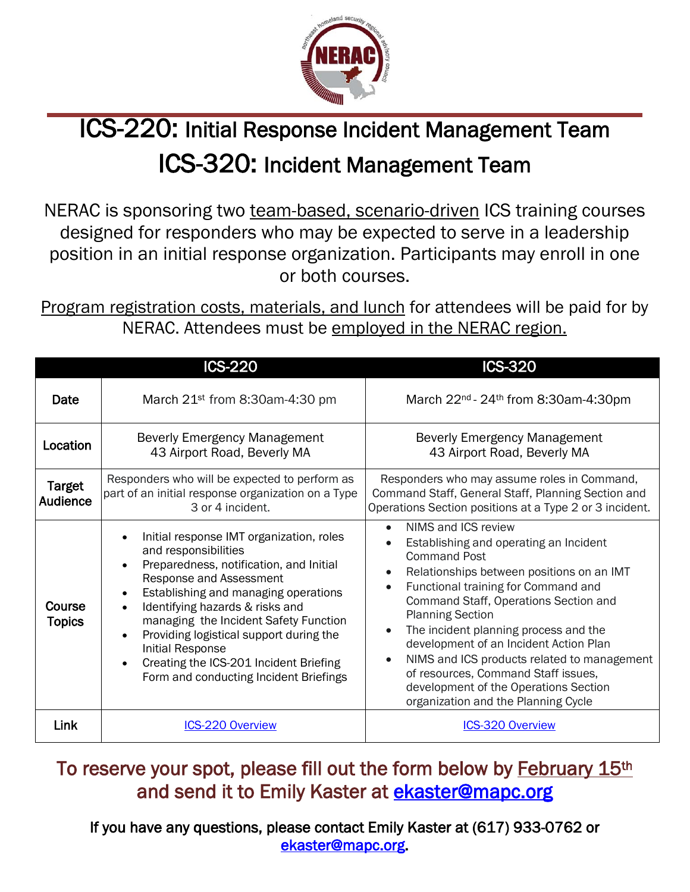

## $\overline{a}$ ICS-220: Initial Response Incident Management Team ICS-320: Incident Management Team

NERAC is sponsoring two team-based, scenario-driven ICS training courses designed for responders who may be expected to serve in a leadership position in an initial response organization. Participants may enroll in one or both courses.

Program registration costs, materials, and lunch for attendees will be paid for by NERAC. Attendees must be employed in the NERAC region.

|                                  | <b>ICS-220</b>                                                                                                                                                                                                                                                                                                                                                                                                                    | <b>ICS-320</b>                                                                                                                                                                                                                                                                                                                                                                                                                                                                                                                                            |
|----------------------------------|-----------------------------------------------------------------------------------------------------------------------------------------------------------------------------------------------------------------------------------------------------------------------------------------------------------------------------------------------------------------------------------------------------------------------------------|-----------------------------------------------------------------------------------------------------------------------------------------------------------------------------------------------------------------------------------------------------------------------------------------------------------------------------------------------------------------------------------------------------------------------------------------------------------------------------------------------------------------------------------------------------------|
| Date                             | March 21 <sup>st</sup> from 8:30am-4:30 pm                                                                                                                                                                                                                                                                                                                                                                                        | March 22 <sup>nd</sup> - 24 <sup>th</sup> from 8:30am-4:30pm                                                                                                                                                                                                                                                                                                                                                                                                                                                                                              |
| Location                         | <b>Beverly Emergency Management</b><br>43 Airport Road, Beverly MA                                                                                                                                                                                                                                                                                                                                                                | <b>Beverly Emergency Management</b><br>43 Airport Road, Beverly MA                                                                                                                                                                                                                                                                                                                                                                                                                                                                                        |
| <b>Target</b><br><b>Audience</b> | Responders who will be expected to perform as<br>part of an initial response organization on a Type<br>3 or 4 incident.                                                                                                                                                                                                                                                                                                           | Responders who may assume roles in Command,<br>Command Staff, General Staff, Planning Section and<br>Operations Section positions at a Type 2 or 3 incident.                                                                                                                                                                                                                                                                                                                                                                                              |
| Course<br><b>Topics</b>          | Initial response IMT organization, roles<br>and responsibilities<br>Preparedness, notification, and Initial<br>Response and Assessment<br>Establishing and managing operations<br>Identifying hazards & risks and<br>$\bullet$<br>managing the Incident Safety Function<br>Providing logistical support during the<br><b>Initial Response</b><br>Creating the ICS-201 Incident Briefing<br>Form and conducting Incident Briefings | NIMS and ICS review<br>$\bullet$<br>Establishing and operating an Incident<br><b>Command Post</b><br>Relationships between positions on an IMT<br>Functional training for Command and<br>$\bullet$<br>Command Staff, Operations Section and<br><b>Planning Section</b><br>The incident planning process and the<br>$\bullet$<br>development of an Incident Action Plan<br>NIMS and ICS products related to management<br>$\bullet$<br>of resources, Command Staff issues,<br>development of the Operations Section<br>organization and the Planning Cycle |
| Link                             | <b>ICS-220 Overview</b>                                                                                                                                                                                                                                                                                                                                                                                                           | <b>ICS-320 Overview</b>                                                                                                                                                                                                                                                                                                                                                                                                                                                                                                                                   |

To reserve your spot, please fill out the form below by February 15<sup>th</sup> and send it to Emily Kaster at [ekaster@mapc.org](mailto:ekaster@mapc.org) 

If you have any questions, please contact Emily Kaster at (617) 933-0762 or [ekaster@mapc.org.](mailto:ekaster@mapc.org)